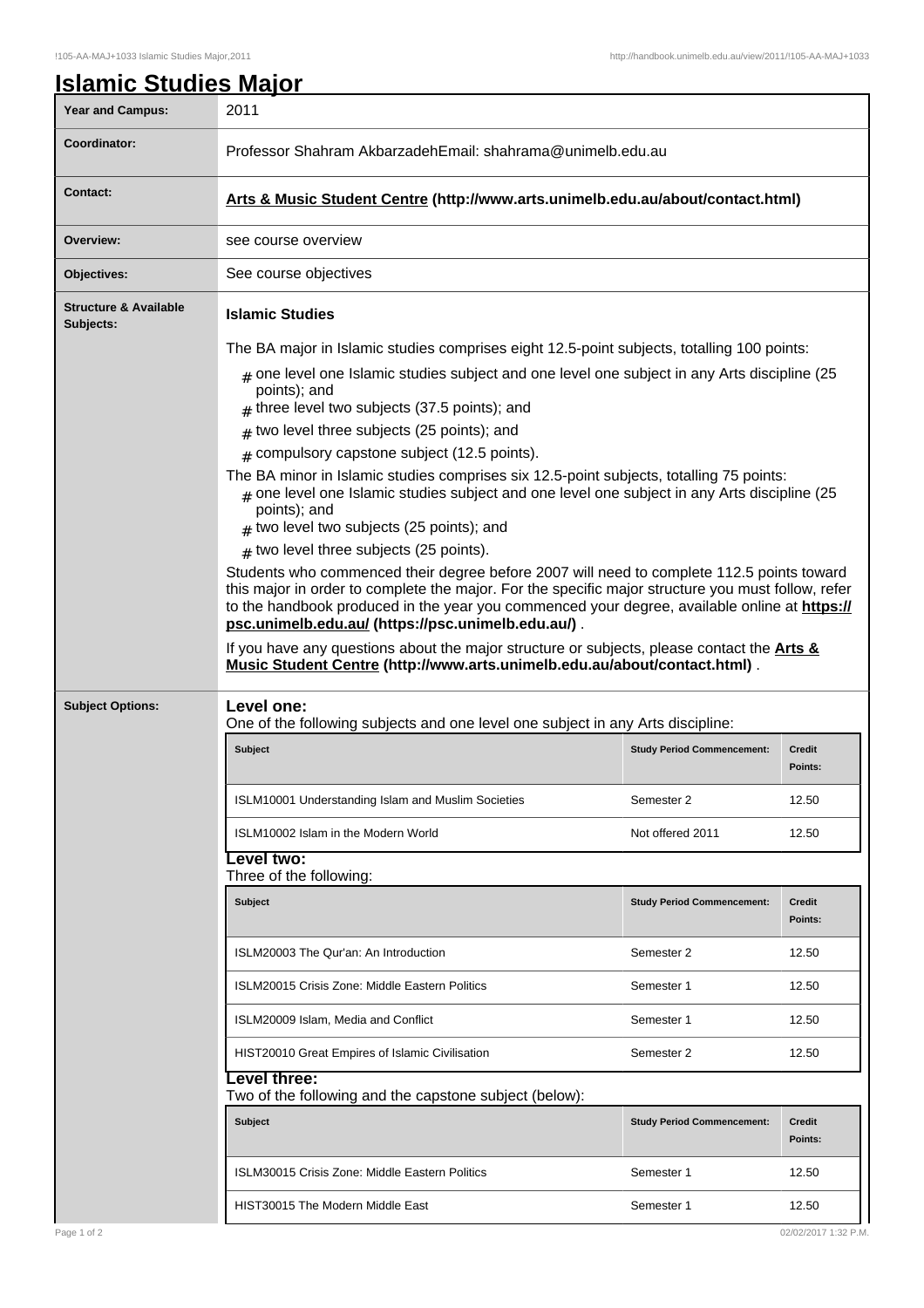| <b>Year and Campus:</b>                       | 2011                                                                                                                                                                                                                                                                                                                                                                                                                                                                                                                                                                                                                                                                                                                                                                                                                                                                                                                                                                                                                                                                                                                                                                                                                                   |                                   |                          |  |
|-----------------------------------------------|----------------------------------------------------------------------------------------------------------------------------------------------------------------------------------------------------------------------------------------------------------------------------------------------------------------------------------------------------------------------------------------------------------------------------------------------------------------------------------------------------------------------------------------------------------------------------------------------------------------------------------------------------------------------------------------------------------------------------------------------------------------------------------------------------------------------------------------------------------------------------------------------------------------------------------------------------------------------------------------------------------------------------------------------------------------------------------------------------------------------------------------------------------------------------------------------------------------------------------------|-----------------------------------|--------------------------|--|
| Coordinator:                                  | Professor Shahram AkbarzadehEmail: shahrama@unimelb.edu.au                                                                                                                                                                                                                                                                                                                                                                                                                                                                                                                                                                                                                                                                                                                                                                                                                                                                                                                                                                                                                                                                                                                                                                             |                                   |                          |  |
| <b>Contact:</b>                               | Arts & Music Student Centre (http://www.arts.unimelb.edu.au/about/contact.html)                                                                                                                                                                                                                                                                                                                                                                                                                                                                                                                                                                                                                                                                                                                                                                                                                                                                                                                                                                                                                                                                                                                                                        |                                   |                          |  |
| Overview:                                     | see course overview                                                                                                                                                                                                                                                                                                                                                                                                                                                                                                                                                                                                                                                                                                                                                                                                                                                                                                                                                                                                                                                                                                                                                                                                                    |                                   |                          |  |
| Objectives:                                   | See course objectives                                                                                                                                                                                                                                                                                                                                                                                                                                                                                                                                                                                                                                                                                                                                                                                                                                                                                                                                                                                                                                                                                                                                                                                                                  |                                   |                          |  |
| <b>Structure &amp; Available</b><br>Subjects: | <b>Islamic Studies</b>                                                                                                                                                                                                                                                                                                                                                                                                                                                                                                                                                                                                                                                                                                                                                                                                                                                                                                                                                                                                                                                                                                                                                                                                                 |                                   |                          |  |
|                                               | The BA major in Islamic studies comprises eight 12.5-point subjects, totalling 100 points:<br>$#$ one level one Islamic studies subject and one level one subject in any Arts discipline (25<br>points); and<br>$#$ three level two subjects (37.5 points); and<br>two level three subjects (25 points); and<br>#<br>$#$ compulsory capstone subject (12.5 points).<br>The BA minor in Islamic studies comprises six 12.5-point subjects, totalling 75 points:<br>$_{\text{\#}}$ one level one Islamic studies subject and one level one subject in any Arts discipline (25<br>points); and<br>$#$ two level two subjects (25 points); and<br>$#$ two level three subjects (25 points).<br>Students who commenced their degree before 2007 will need to complete 112.5 points toward<br>this major in order to complete the major. For the specific major structure you must follow, refer<br>to the handbook produced in the year you commenced your degree, available online at https://<br>psc.unimelb.edu.au/ (https://psc.unimelb.edu.au/).<br>If you have any questions about the major structure or subjects, please contact the <b>Arts &amp;</b><br>Music Student Centre (http://www.arts.unimelb.edu.au/about/contact.html). |                                   |                          |  |
| <b>Subject Options:</b>                       | Level one:<br>One of the following subjects and one level one subject in any Arts discipline:                                                                                                                                                                                                                                                                                                                                                                                                                                                                                                                                                                                                                                                                                                                                                                                                                                                                                                                                                                                                                                                                                                                                          |                                   |                          |  |
|                                               | <b>Subject</b>                                                                                                                                                                                                                                                                                                                                                                                                                                                                                                                                                                                                                                                                                                                                                                                                                                                                                                                                                                                                                                                                                                                                                                                                                         | <b>Study Period Commencement:</b> | Credit<br>Points:        |  |
|                                               | ISLM10001 Understanding Islam and Muslim Societies                                                                                                                                                                                                                                                                                                                                                                                                                                                                                                                                                                                                                                                                                                                                                                                                                                                                                                                                                                                                                                                                                                                                                                                     | Semester 2                        | 12.50                    |  |
|                                               | ISLM10002 Islam in the Modern World                                                                                                                                                                                                                                                                                                                                                                                                                                                                                                                                                                                                                                                                                                                                                                                                                                                                                                                                                                                                                                                                                                                                                                                                    |                                   |                          |  |
|                                               |                                                                                                                                                                                                                                                                                                                                                                                                                                                                                                                                                                                                                                                                                                                                                                                                                                                                                                                                                                                                                                                                                                                                                                                                                                        | Not offered 2011                  | 12.50                    |  |
|                                               | evel two:<br>Three of the following:                                                                                                                                                                                                                                                                                                                                                                                                                                                                                                                                                                                                                                                                                                                                                                                                                                                                                                                                                                                                                                                                                                                                                                                                   |                                   |                          |  |
|                                               | <b>Subject</b>                                                                                                                                                                                                                                                                                                                                                                                                                                                                                                                                                                                                                                                                                                                                                                                                                                                                                                                                                                                                                                                                                                                                                                                                                         | <b>Study Period Commencement:</b> | <b>Credit</b><br>Points: |  |
|                                               | ISLM20003 The Qur'an: An Introduction                                                                                                                                                                                                                                                                                                                                                                                                                                                                                                                                                                                                                                                                                                                                                                                                                                                                                                                                                                                                                                                                                                                                                                                                  | Semester 2                        | 12.50                    |  |
|                                               | ISLM20015 Crisis Zone: Middle Eastern Politics                                                                                                                                                                                                                                                                                                                                                                                                                                                                                                                                                                                                                                                                                                                                                                                                                                                                                                                                                                                                                                                                                                                                                                                         | Semester 1                        | 12.50                    |  |
|                                               | ISLM20009 Islam, Media and Conflict                                                                                                                                                                                                                                                                                                                                                                                                                                                                                                                                                                                                                                                                                                                                                                                                                                                                                                                                                                                                                                                                                                                                                                                                    | Semester 1                        | 12.50                    |  |
|                                               | HIST20010 Great Empires of Islamic Civilisation                                                                                                                                                                                                                                                                                                                                                                                                                                                                                                                                                                                                                                                                                                                                                                                                                                                                                                                                                                                                                                                                                                                                                                                        | Semester 2                        | 12.50                    |  |
|                                               | evel three:<br>Two of the following and the capstone subject (below):                                                                                                                                                                                                                                                                                                                                                                                                                                                                                                                                                                                                                                                                                                                                                                                                                                                                                                                                                                                                                                                                                                                                                                  |                                   |                          |  |
|                                               | <b>Subject</b>                                                                                                                                                                                                                                                                                                                                                                                                                                                                                                                                                                                                                                                                                                                                                                                                                                                                                                                                                                                                                                                                                                                                                                                                                         | <b>Study Period Commencement:</b> | Credit<br>Points:        |  |
|                                               | ISLM30015 Crisis Zone: Middle Eastern Politics                                                                                                                                                                                                                                                                                                                                                                                                                                                                                                                                                                                                                                                                                                                                                                                                                                                                                                                                                                                                                                                                                                                                                                                         | Semester 1                        | 12.50                    |  |